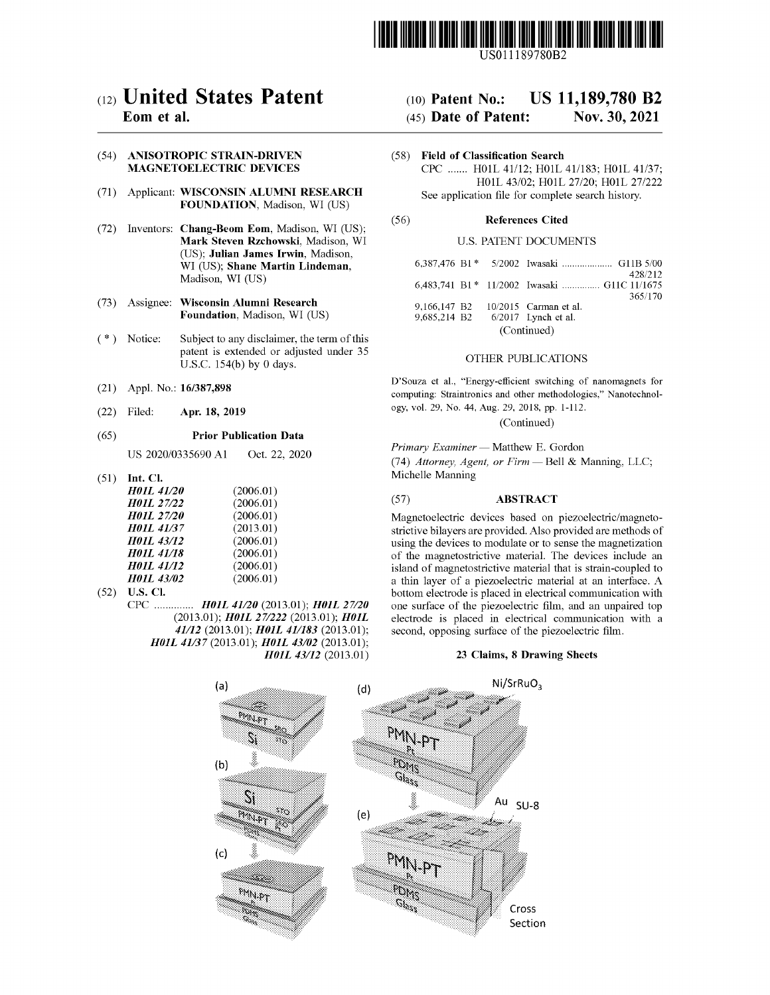

USO 11189780B2

# c12) **United States Patent**

## **Eom et al.**

#### (54) **ANISOTROPIC STRAIN-DRIVEN MAGNETOELECTRIC DEVICES**

- (71) Applicant: **WISCONSIN ALUMNI RESEARCH FOUNDATION,** Madison, WI (US)
- (72) Inventors: **Chang-Beom Eom,** Madison, WI (US); **Mark Steven Rzchowski,** Madison, WI (US); **Julian James Irwin,** Madison, WI (US); **Shane Martin Lindeman,**  Madison, WI (US)
- (73) Assignee: **Wisconsin Alumni Research Foundation,** Madison, WI (US)
- (\*) Notice: Subject to any disclaimer, the term of this patent is extended or adjusted under 35 U.S.C. 154(b) by 0 days.
- (21) Appl. No.: **16/387,898**
- (22) Filed: **Apr. 18, 2019**

#### (65) **Prior Publication Data**

US 2020/0335690 Al Oct. 22, 2020

(51) **Int. Cl.** 

| <b>H01L 41/20</b> | (2006.01) |
|-------------------|-----------|
| <b>H01L 27/22</b> | (2006.01) |
| <b>H01L 27/20</b> | (2006.01) |
| <b>H01L 41/37</b> | (2013.01) |
| <b>H01L 43/12</b> | (2006.01) |
| <b>HO1L 41/18</b> | (2006.01) |
| <b>H01L 41/12</b> | (2006.01) |
| <b>H01L 43/02</b> | (2006.01) |

(52) **U.S. Cl.**  CPC .............. *H0JL 41120* (2013.01); *H0JL 27120*  (2013.01); *H0JL 271222* (2013.01); *H0JL 41112* (2013.01); *H0JL 411183* (2013.01); *H01L 41/37* (2013.01); *H01L 43/02* (2013.01); *H0JL 43112* (2013.01)

## (IO) **Patent No.: US 11,189,780 B2**

### (45) **Date of Patent: Nov. 30, 2021**

(58) **Field of Classification Search**  CPC ....... H0lL 41/12; H0lL 41/183; H0lL 41/37; H0lL 43/02; H0lL 27/20; H01L 27/222 See application file for complete search history.

#### (56) **References Cited**

#### U.S. PATENT DOCUMENTS

|                                  |  | 428/212<br>6,483,741 B1 * 11/2002 Iwasaki  G11C 11/1675 |  |  |
|----------------------------------|--|---------------------------------------------------------|--|--|
|                                  |  | 365/170                                                 |  |  |
| 9.166.147 B <sub>2</sub>         |  | $10/2015$ Carman et al.                                 |  |  |
| 9,685,214 B2 6/2017 Lynch et al. |  |                                                         |  |  |
| (Continued)                      |  |                                                         |  |  |

#### OTHER PUBLICATIONS

D'Souza et al., "Energy-efficient switching of nanornagnets for computing: Straintronics and other methodologies," Nanotechnology, vol. 29, No. 44, Aug. 29, 2018, pp. l-ll2.

(Continued)

*Primary Examiner* - Matthew E. Gordon

(74) *Attorney, Agent, or Firm* - Bell & Manning, LLC; Michelle Manning

#### (57) **ABSTRACT**

Magnetoelectric devices based on piezoelectric/magnetostrictive bilayers are provided. Also provided are methods of using the devices to modulate or to sense the magnetization of the magnetostrictive material. The devices include an island of magnetostrictive material that is strain-coupled to a thin layer of a piezoelectric material at an interface. A bottom electrode is placed in electrical communication with one surface of the piezoelectric film, and an unpaired top electrode is placed in electrical communication with a second, opposing surface of the piezoelectric film.

#### **23 Claims, 8 Drawing Sheets**

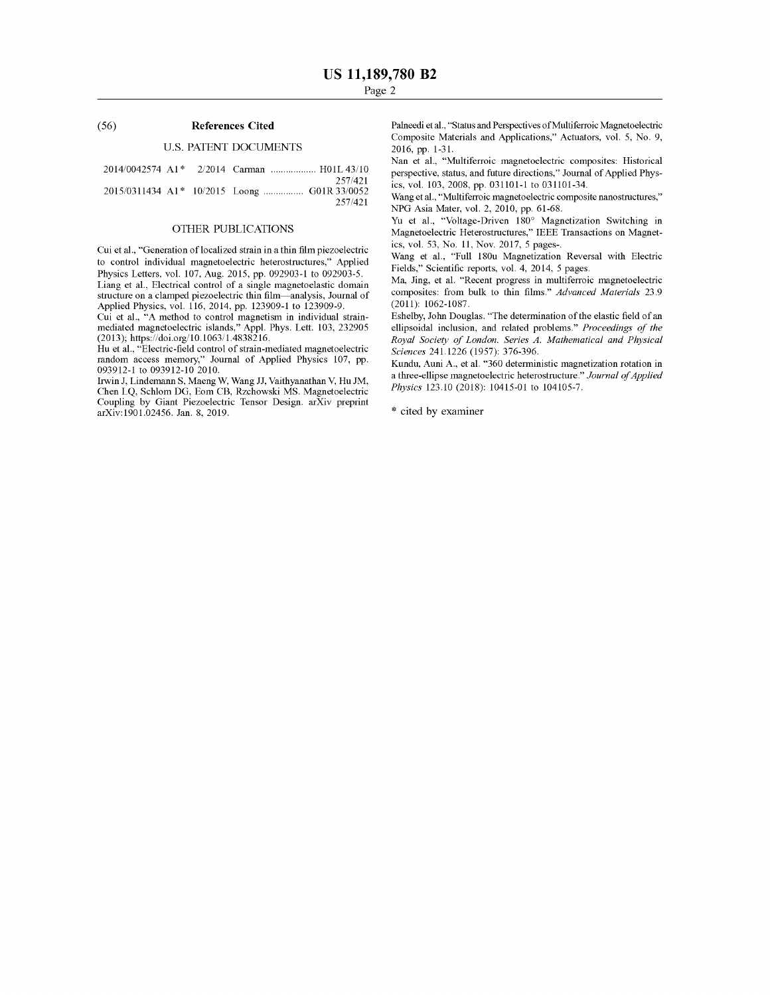#### (56) **References Cited**

#### U.S. PATENT DOCUMENTS

| 2014/0042574 A1 <sup>*</sup> 2/2014 Carman  H01L43/10 |  |         |
|-------------------------------------------------------|--|---------|
|                                                       |  | 257/421 |

2015/0311434 A1\* 10/2015 Loong ............... G01R 33/0052 257 /421

#### OTHER PUBLICATIONS

Cui et al., "Generation of localized strain in a thin film piezoelectric to control individual magnetoelectric heterostructures," Applied Physics Letters, vol. 107, Aug. 2015, pp. 092903-1 to 092903-5.

Liang et al., Electrical control of a single magnetoelastic domain structure on a clamped piezoelectric thin film-analysis, Journal of Applied Physics, vol. 116, 2014, pp. 123909-1 to 123909-9.

Cui et al., "A method to control magnetism in individual strainmediated magnetoelectric islands," Appl. Phys. Lett. 103, 232905 (2013); https://doi.org/10.1063/ 1.4838216.

Hu et al., "Electric-field control of strain-mediated magnetoelectric random access memory," Journal of Applied Physics 107, pp. 093912-1 to 093912-10 2010.

Irwin J, Lindemann S, Maeng W, Wang JJ, Vaithyanathan V, Hu JM, Chen LQ, Schlom DG, Eom CB, Rzchowski MS. Magnetoelectric Coupling by Giant Piezoelectric Tensor Design. arXiv preprint arXiv:1901.02456. Jan. 8, 2019.

Palneedi et al., "Status and Perspectives of Multiferroic Magnetoelectric Composite Materials and Applications," Actuators, vol. 5, No. 9, 2016, pp. 1-31.

Nan et al., "Multiferroic magnetoelectric composites: Historical perspective, status, and future directions," Journal of Applied Physics, vol. 103, 2008, pp. 031101-1 to 031101-34.

Wang et al., "Multiferroic magnetoelectric composite nanostructures," NPG Asia Mater, vol. 2, 2010, pp. 61-68.

Yu et al., "Voltage-Driven 180° Magnetization Switching in Magnetoelectric Heterostructures," IEEE Transactions on Magnetics, vol. 53, No. 11, Nov. 2017, 5 pages-.

Wang et al., "Full 180u Magnetization Reversal with Electric Fields," Scientific reports, vol. 4, 2014, 5 pages.

Ma, Jing, et al. "Recent progress in multiferroic magnetoelectric composites: from bulk to thin films." *Advanced Materials* 23.9 (2011): 1062-1087.

Eshelby, John Douglas. "The determination of the elastic field of an ellipsoidal inclusion, and related problems." *Proceedings of the Royal Society of London. Series A. Mathematical and Physical Sciences* 241.1226 (1957): 376-396.

Kundu, Auni A., et al. "360 deterministic magnetization rotation in a three-ellipse magnetoelectric heterostructure." *Journal of Applied Physics* 123.10 (2018): 10415-01 to 104105-7.

\* cited by examiner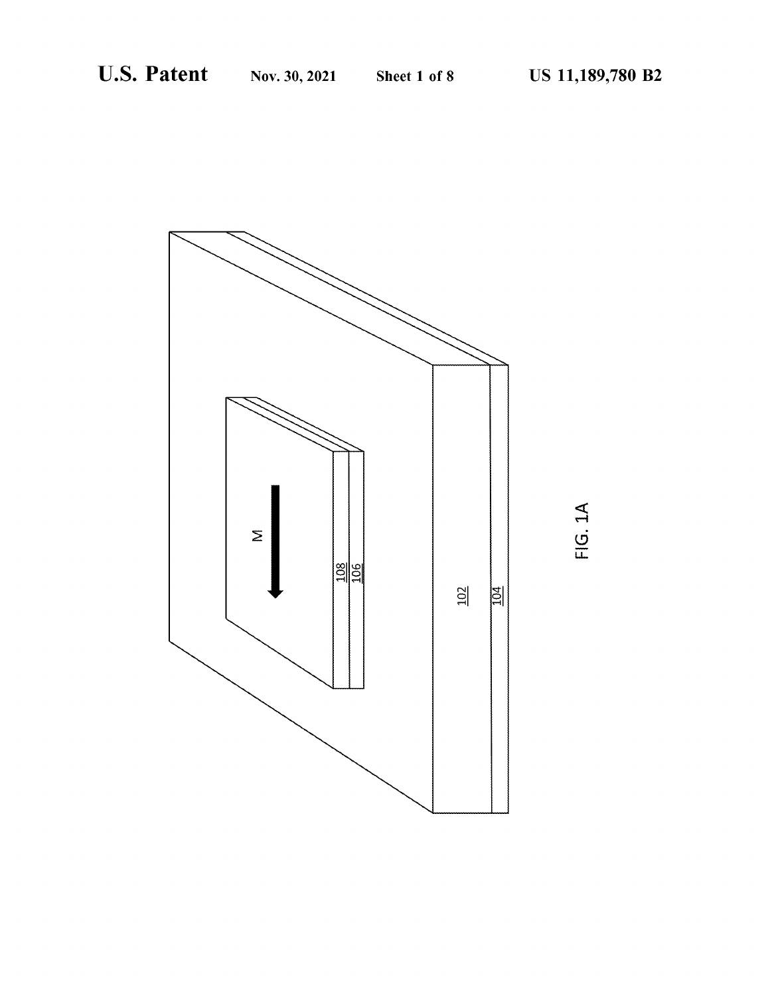

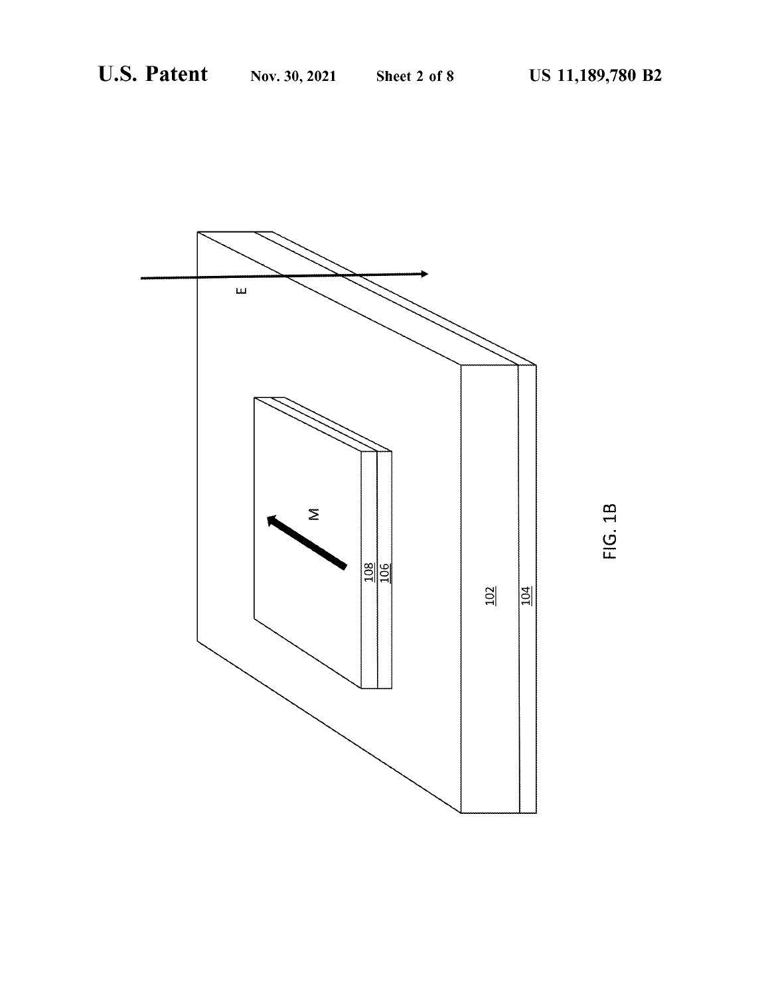

FIG. 1B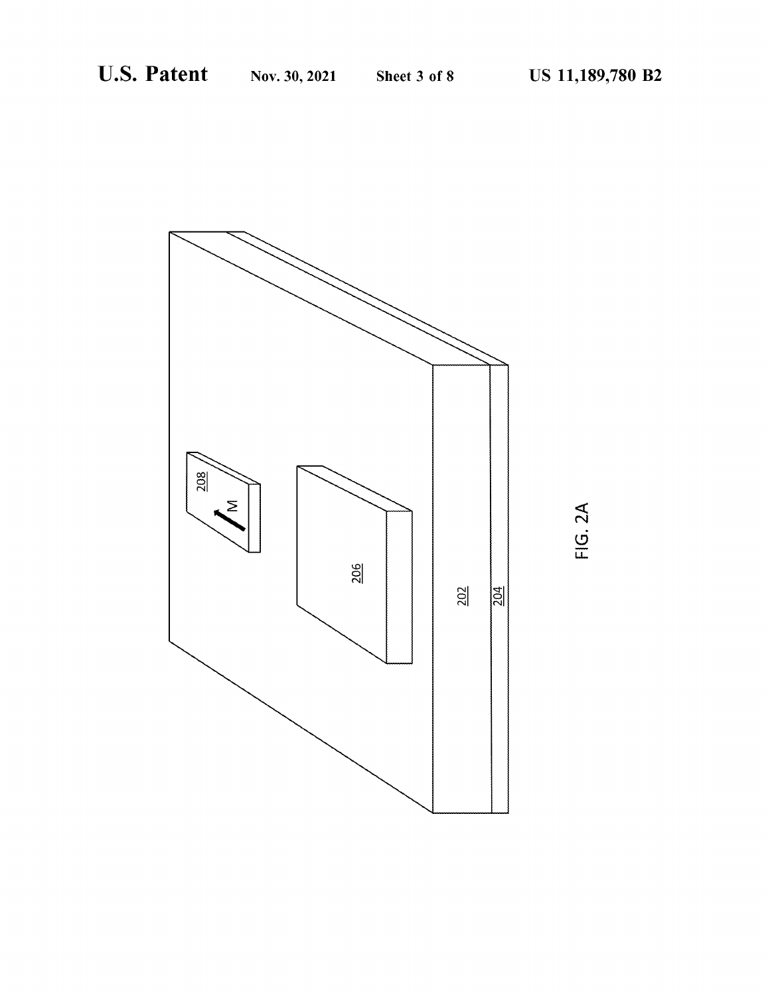

FIG. 2A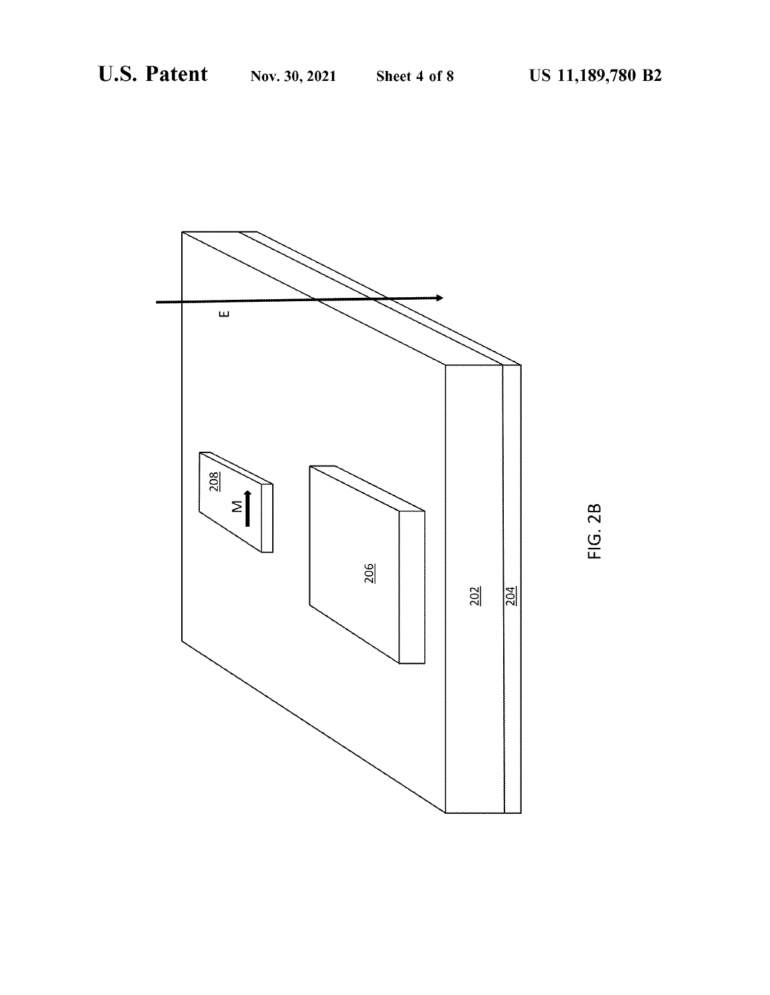

FIG. 2B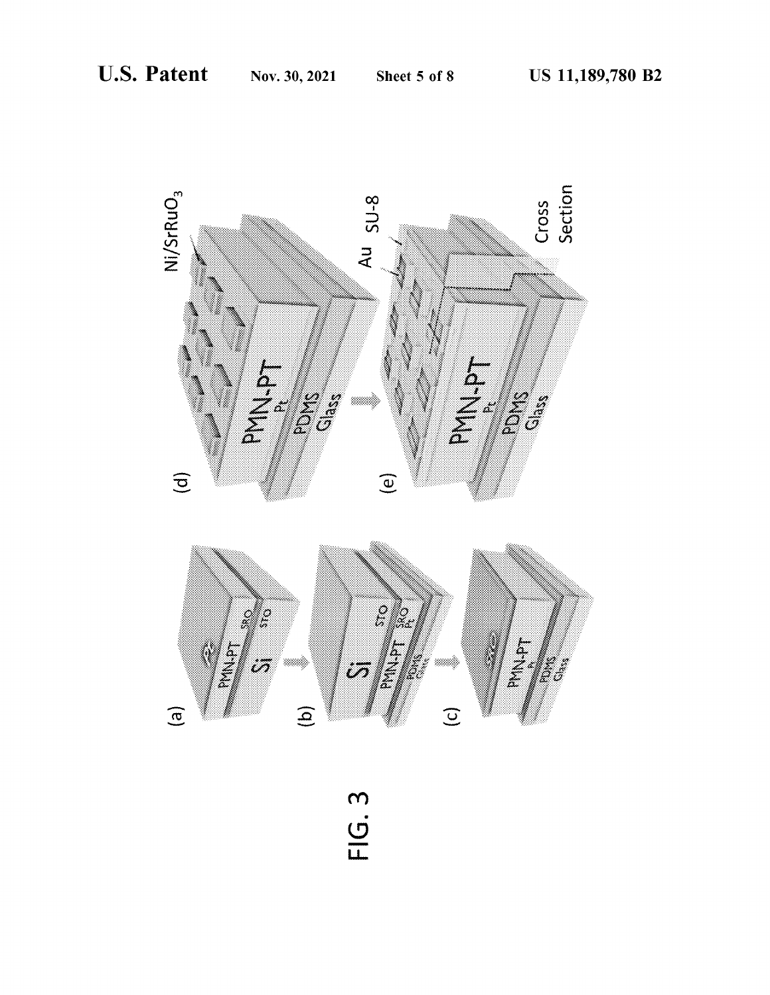

FIG. 3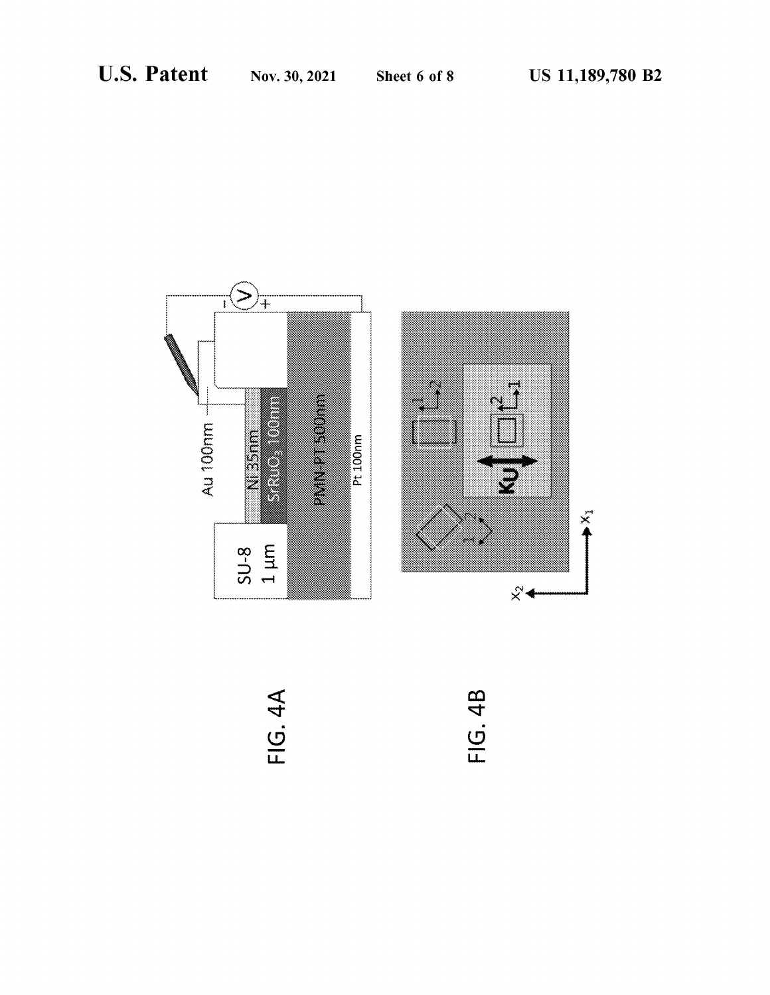



**FIG. 4A** 

FIG. 4B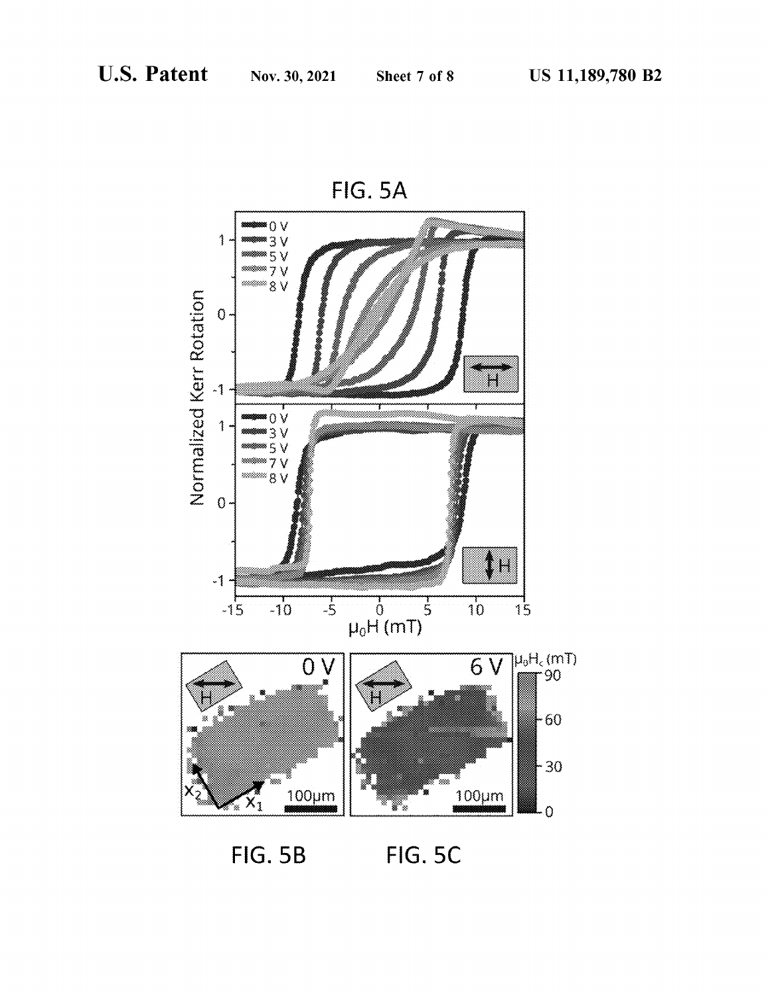

**FIG. 5B FIG. 5C**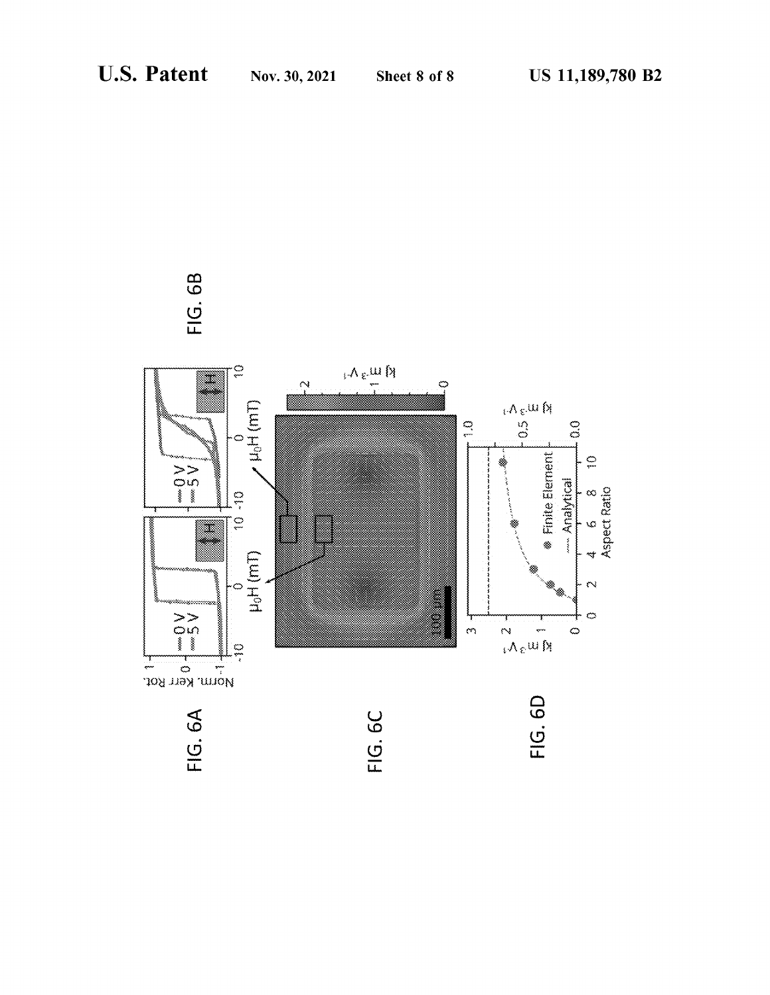

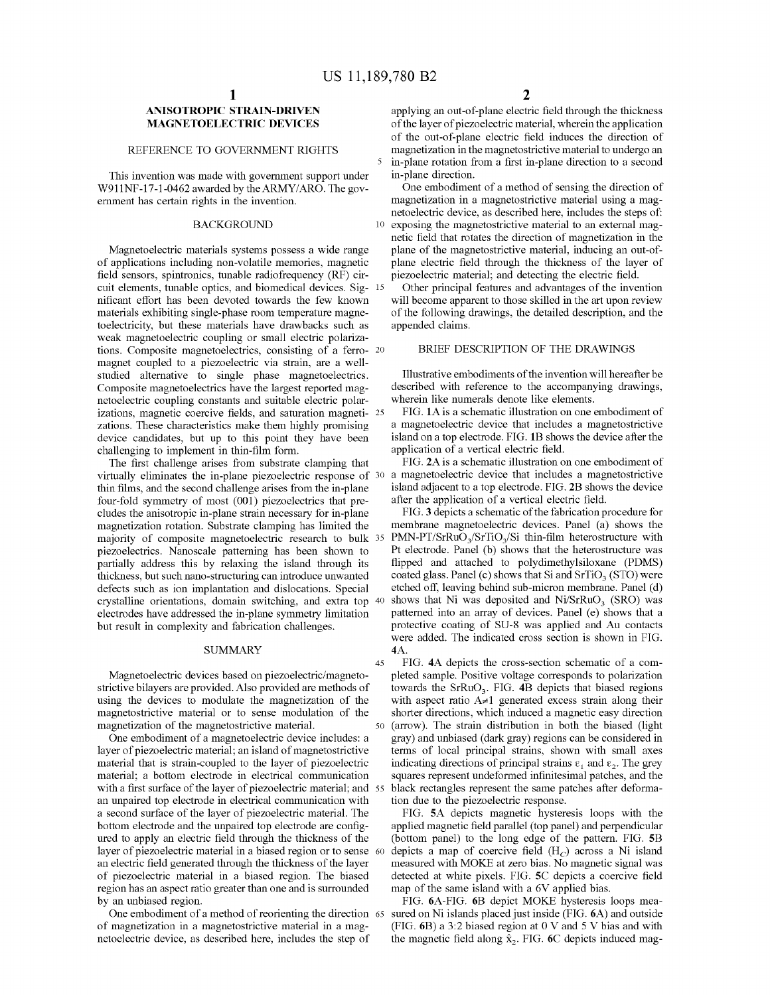#### **ANISOTROPIC STRAIN-DRIVEN MAGNETOELECTRIC DEVICES**

#### REFERENCE TO GOVERNMENT RIGHTS

This invention was made with government support under W911NF-17-1-0462 awarded by the ARMY/ARO. The government has certain rights in the invention.

#### BACKGROUND

Magnetoelectric materials systems possess a wide range of applications including non-volatile memories, magnetic plane electric field through the thickness of the layer of field sensors, spintronics, tunable radiofrequency (RF) circuit elements, tunable optics, and biomedical devices. Sig- 15 nificant effort has been devoted towards the few known materials exhibiting single-phase room temperature magnetoelectricity, but these materials have drawbacks such as weak magnetoelectric coupling or small electric polarizations. Composite magnetoelectrics, consisting of a ferro- <sup>20</sup> magnet coupled to a piezoelectric via strain, are a wellstudied alternative to single phase magnetoelectrics. Composite magnetoelectrics have the largest reported magnetoelectric coupling constants and suitable electric polarizations, magnetic coercive fields, and saturation magneti- 25 zations. These characteristics make them highly promising device candidates, but up to this point they have been challenging to implement in thin-film form.

The first challenge arises from substrate clamping that virtually eliminates the in-plane piezoelectric response of 30 thin films, and the second challenge arises from the in-plane four-fold symmetry of most (001) piezoelectrics that precludes the anisotropic in-plane strain necessary for in-plane magnetization rotation. Substrate clamping has limited the majority of composite magnetoelectric research to bulk 35 piezoelectrics. Nanoscale patterning has been shown to partially address this by relaxing the island through its thickness, but such nano-structuring can introduce unwanted defects such as ion implantation and dislocations. Special crystalline orientations, domain switching, and extra top 40 electrodes have addressed the in-plane symmetry limitation but result in complexity and fabrication challenges.

#### SUMMARY

Magnetoelectric devices based on piezoelectric/magnetostrictive bilayers are provided. Also provided are methods of using the devices to modulate the magnetization of the magnetostrictive material or to sense modulation of the magnetization of the magnetostrictive material.

One embodiment of a magnetoelectric device includes: a layer of piezoelectric material; an island of magnetostrictive material that is strain-coupled to the layer of piezoelectric material; a bottom electrode in electrical communication with a first surface of the layer of piezoelectric material; and 55 an unpaired top electrode in electrical communication with a second surface of the layer of piezoelectric material. The bottom electrode and the unpaired top electrode are configured to apply an electric field through the thickness of the layer of piezoelectric material in a biased region or to sense an electric field generated through the thickness of the layer of piezoelectric material in a biased region. The biased region has an aspect ratio greater than one and is surrounded by an unbiased region.

One embodiment of a method of reorienting the direction 65 of magnetization in a magnetostrictive material in a magnetoelectric device, as described here, includes the step of

applying an out-of-plane electric field through the thickness of the layer of piezoelectric material, wherein the application of the out-of-plane electric field induces the direction of magnetization in the magnetostrictive material to undergo an 5 in-plane rotation from a first in-plane direction to a second in-plane direction.

One embodiment of a method of sensing the direction of magnetization in a magnetostrictive material using a magnetoelectric device, as described here, includes the steps of: 10 exposing the magnetostrictive material to an external magnetic field that rotates the direction of magnetization in the plane of the magnetostrictive material, inducing an out-ofpiezoelectric material; and detecting the electric field.

Other principal features and advantages of the invention will become apparent to those skilled in the art upon review of the following drawings, the detailed description, and the appended claims.

#### BRIEF DESCRIPTION OF THE DRAWINGS

Illustrative embodiments of the invention will hereafter be described with reference to the accompanying drawings, wherein like numerals denote like elements.

FIG. **lA** is a schematic illustration on one embodiment of a magnetoelectric device that includes a magnetostrictive island on a top electrode. FIG. **lB** shows the device after the application of a vertical electric field.

FIG. **2A** is a schematic illustration on one embodiment of a magnetoelectric device that includes a magnetostrictive island adjacent to a top electrode. FIG. **2B** shows the device after the application of a vertical electric field.

FIG. **3** depicts a schematic of the fabrication procedure for membrane magnetoelectric devices. Panel (a) shows the  $PMN-PT/SrRuO<sub>3</sub>/STIO<sub>3</sub>/Si$  thin-film heterostructure with Pt electrode. Panel (b) shows that the heterostructure was flipped and attached to polydimethylsiloxane (PDMS) coated glass. Panel (c) shows that Si and  $SrTiO<sub>3</sub> (STO)$  were etched off, leaving behind sub-micron membrane. Panel (d) shows that Ni was deposited and  $Ni/SrRuO<sub>3</sub>$  (SRO) was patterned into an array of devices. Panel (e) shows that a protective coating of SU-8 was applied and Au contacts were added. The indicated cross section is shown in FIG. **4A.** 

45 FIG. **4A** depicts the cross-section schematic of a completed sample. Positive voltage corresponds to polarization towards the SrRuO<sub>3</sub>. FIG. 4B depicts that biased regions with aspect ratio  $A\neq 1$  generated excess strain along their shorter directions, which induced a magnetic easy direction 50 (arrow). The strain distribution in both the biased (light gray) and unbiased (dark gray) regions can be considered in terms of local principal strains, shown with small axes indicating directions of principal strains  $\varepsilon_1$  and  $\varepsilon_2$ . The grey squares represent undeformed infinitesimal patches, and the black rectangles represent the same patches after deformation due to the piezoelectric response.

FIG. **SA** depicts magnetic hysteresis loops with the applied magnetic field parallel (top panel) and perpendicular (bottom panel) to the long edge of the pattern. FIG. **SB**  depicts a map of coercive field  $(H_C)$  across a Ni island measured with MOKE at zero bias. No magnetic signal was detected at white pixels. FIG. **SC** depicts a coercive field map of the same island with a 6V applied bias.

FIG. 6A-FIG. 6B depict MOKE hysteresis loops measured on Ni islands placed just inside (FIG. 6A) and outside (FIG. 6B) a 3:2 biased region at O V and 5 V bias and with the magnetic field along  $\hat{x}_2$ . FIG. 6C depicts induced mag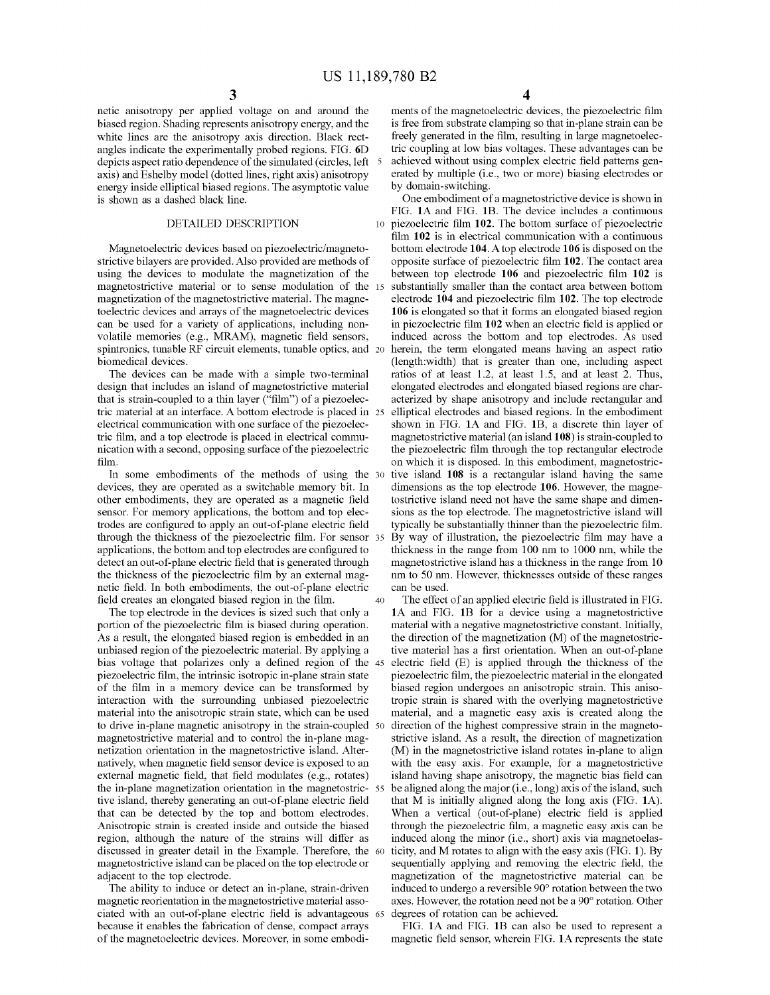netic anisotropy per applied voltage on and around the biased region. Shading represents anisotropy energy, and the white lines are the anisotropy axis direction. Black rectangles indicate the experimentally probed regions. FIG. **6D**  depicts aspect ratio dependence of the simulated (circles, left 5 axis) and Eshelby model ( dotted lines, right axis) anisotropy energy inside elliptical biased regions. The asymptotic value is shown as a dashed black line.

#### DETAILED DESCRIPTION

Magnetoelectric devices based on piezoelectric/magnetostrictive bilayers are provided. Also provided are methods of using the devices to modulate the magnetization of the magnetostrictive material or to sense modulation of the magnetization of the magnetostrictive material. The magnetoelectric devices and arrays of the magnetoelectric devices can be used for a variety of applications, including nonvolatile memories (e.g., MRAM), magnetic field sensors, spintronics, tunable RF circuit elements, tunable optics, and 20 biomedical devices.

The devices can be made with a simple two-terminal design that includes an island of magnetostrictive material that is strain-coupled to a thin layer ("film") of a piezoelectric material at an interface. A bottom electrode is placed in electrical communication with one surface of the piezoelectric film, and a top electrode is placed in electrical communication with a second, opposing surface of the piezoelectric film.

In some embodiments of the methods of using the 30 devices, they are operated as a switchable memory bit. In other embodiments, they are operated as a magnetic field sensor. For memory applications, the bottom and top electrodes are configured to apply an out-of-plane electric field through the thickness of the piezoelectric film. For sensor applications, the bottom and top electrodes are configured to detect an out-of-plane electric field that is generated through the thickness of the piezoelectric film by an external magnetic field. In both embodiments, the out-of-plane electric field creates an elongated biased region in the film.

The top electrode in the devices is sized such that only a portion of the piezoelectric film is biased during operation. As a result, the elongated biased region is embedded in an unbiased region of the piezoelectric material. By applying a bias voltage that polarizes only a defined region of the piezoelectric film, the intrinsic isotropic in-plane strain state of the film in a memory device can be transformed by interaction with the surrounding unbiased piezoelectric material into the anisotropic strain state, which can be used to drive in-plane magnetic anisotropy in the strain-coupled magnetostrictive material and to control the in-plane magnetization orientation in the magnetostrictive island. Alternatively, when magnetic field sensor device is exposed to an external magnetic field, that field modulates (e.g., rotates) the in-plane magnetization orientation in the magnetostrictive island, thereby generating an out-of-plane electric field that can be detected by the top and bottom electrodes. Anisotropic strain is created inside and outside the biased region, although the nature of the strains will differ as discussed in greater detail in the Example. Therefore, the magnetostrictive island can be placed on the top electrode or adjacent to the top electrode.

The ability to induce or detect an in-plane, strain-driven magnetic reorientation in the magnetostrictive material associated with an out-of-plane electric field is advantageous because it enables the fabrication of dense, compact arrays of the magnetoelectric devices. Moreover, in some embodi-

ments of the magnetoelectric devices, the piezoelectric film is free from substrate clamping so that in-plane strain can be freely generated in the film, resulting in large magnetoelectric coupling at low bias voltages. These advantages can be achieved without using complex electric field patterns generated by multiple (i.e., two or more) biasing electrodes or by domain-switching.

One embodiment of a magnetostrictive device is shown in FIG. **lA** and FIG. **lB.** The device includes a continuous 10 piezoelectric film **102.** The bottom surface of piezoelectric film **102** is in electrical communication with a continuous bottom electrode **104.** A top electrode **106** is disposed on the opposite surface of piezoelectric film **102.** The contact area between top electrode **106** and piezoelectric film **102** is substantially smaller than the contact area between bottom electrode **104** and piezoelectric film **102.** The top electrode **106** is elongated so that it forms an elongated biased region in piezoelectric film **102** when an electric field is applied or induced across the bottom and top electrodes. As used herein, the term elongated means having an aspect ratio (length:width) that is greater than one, including aspect ratios of at least 1.2, at least 1.5, and at least 2. Thus, elongated electrodes and elongated biased regions are characterized by shape anisotropy and include rectangular and elliptical electrodes and biased regions. In the embodiment shown in FIG. **lA** and FIG. **lB,** a discrete thin layer of magnetostrictive material (an island **108)** is strain-coupled to the piezoelectric film through the top rectangular electrode on which it is disposed. In this embodiment, magnetostrictive island 108 is a rectangular island having the same dimensions as the top electrode **106.** However, the magnetostrictive island need not have the same shape and dimensions as the top electrode. The magnetostrictive island will typically be substantially thinner than the piezoelectric film. By way of illustration, the piezoelectric film may have a thickness in the range from 100 nm to 1000 nm, while the magnetostrictive island has a thickness in the range from 10 nm to 50 nm. However, thicknesses outside of these ranges can be used.

40 The effect of an applied electric field is illustrated in FIG. **lA** and FIG. **lB** for a device using a magnetostrictive material with a negative magnetostrictive constant. Initially, the direction of the magnetization (M) of the magnetostrictive material has a first orientation. When an out-of-plane electric field  $(E)$  is applied through the thickness of the piezoelectric film, the piezoelectric material in the elongated biased region undergoes an anisotropic strain. This anisotropic strain is shared with the overlying magnetostrictive material, and a magnetic easy axis is created along the direction of the highest compressive strain in the magnetostrictive island. As a result, the direction of magnetization (M) in the magnetostrictive island rotates in-plane to align with the easy axis. For example, for a magnetostrictive island having shape anisotropy, the magnetic bias field can be aligned along the major (i.e., long) axis of the island, such that M is initially aligned along the long axis (FIG. **lA).**  When a vertical (out-of-plane) electric field is applied through the piezoelectric film, a magnetic easy axis can be induced along the minor (i.e., short) axis via magnetoelas-60 ticity, and M rotates to align with the easy axis (FIG. **1).** By sequentially applying and removing the electric field, the magnetization of the magnetostrictive material can be induced to undergo a reversible 90° rotation between the two axes. However, the rotation need not be a 90° rotation. Other degrees of rotation can be achieved.

FIG. **lA** and FIG. **lB** can also be used to represent a magnetic field sensor, wherein FIG. **lA** represents the state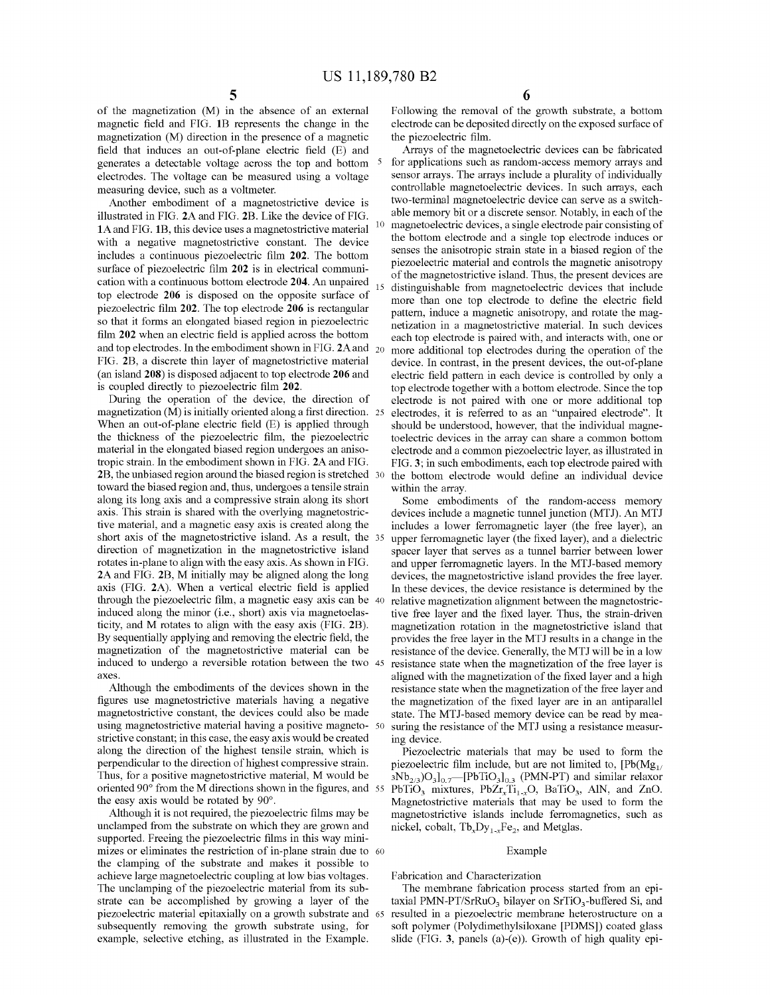of the magnetization (M) in the absence of an external magnetic field and FIG. **1B** represents the change in the magnetization (M) direction in the presence of a magnetic field that induces an out-of-plane electric field (E) and generates a detectable voltage across the top and bottom electrodes. The voltage can be measured using a voltage measuring device, such as a voltmeter.

Another embodiment of a magnetostrictive device is illustrated in FIG. **2A** and FIG. **2B.** Like the device of FIG. **lA** and FIG. **1B,** this device uses a magnetostrictive material with a negative magnetostrictive constant. The device includes a continuous piezoelectric film **202.** The bottom surface of piezoelectric film **202** is in electrical communication with a continuous bottom electrode **204.** An unpaired top electrode **206** is disposed on the opposite surface of piezoelectric film **202.** The top electrode **206** is rectangular so that it forms an elongated biased region in piezoelectric film **202** when an electric field is applied across the bottom and top electrodes. In the embodiment shown in FIG.  $2A$  and  $20$ FIG. **2B,** a discrete thin layer of magnetostrictive material (an island **208)** is disposed adjacent to top electrode **206** and is coupled directly to piezoelectric film **202.** 

During the operation of the device, the direction of magnetization (M) is initially oriented along a first direction. 25 When an out-of-plane electric field (E) is applied through the thickness of the piezoelectric film, the piezoelectric material in the elongated biased region undergoes an anisotropic strain. In the embodiment shown in FIG. **2A** and FIG. **2B,** the unbiased region around the biased region is stretched toward the biased region and, thus, undergoes a tensile strain along its long axis and a compressive strain along its short axis. This strain is shared with the overlying magnetostrictive material, and a magnetic easy axis is created along the short axis of the magnetostrictive island. As a result, the direction of magnetization in the magnetostrictive island rotates in-plane to align with the easy axis. As shown in FIG. **2A** and FIG. **2B,** M initially may be aligned along the long axis (FIG. **2A).** When a vertical electric field is applied through the piezoelectric film, a magnetic easy axis can be induced along the minor (i.e., short) axis via magnetoelasticity, and M rotates to align with the easy axis (FIG. **2B).**  By sequentially applying and removing the electric field, the magnetization of the magnetostrictive material can be induced to undergo a reversible rotation between the two axes.

Although the embodiments of the devices shown in the figures use magnetostrictive materials having a negative magnetostrictive constant, the devices could also be made using magnetostrictive material having a positive magneto- 50 strictive constant; in this case, the easy axis would be created along the direction of the highest tensile strain, which is perpendicular to the direction of highest compressive strain. Thus, for a positive magnetostrictive material, M would be oriented 90° from the M directions shown in the figures, and 55 the easy axis would be rotated by 90°.

Although it is not required, the piezoelectric films may be undamped from the substrate on which they are grown and supported. Freeing the piezoelectric films in this way minimizes or eliminates the restriction of in-plane strain due to 60 the clamping of the substrate and makes it possible to achieve large magnetoelectric coupling at low bias voltages. The unclamping of the piezoelectric material from its substrate can be accomplished by growing a layer of the piezoelectric material epitaxially on a growth substrate and 65 subsequently removing the growth substrate using, for example, selective etching, as illustrated in the Example.

**6** 

Following the removal of the growth substrate, a bottom electrode can be deposited directly on the exposed surface of the piezoelectric film.

Arrays of the magnetoelectric devices can be fabricated for applications such as random-access memory arrays and sensor arrays. The arrays include a plurality of individually controllable magnetoelectric devices. In such arrays, each two-terminal magnetoelectric device can serve as a switchable memory bit or a discrete sensor. Notably, in each of the magnetoelectric devices, a single electrode pair consisting of the bottom electrode and a single top electrode induces or senses the anisotropic strain state in a biased region of the piezoelectric material and controls the magnetic anisotropy of the magnetostrictive island. Thus, the present devices are distinguishable from magnetoelectric devices that include more than one top electrode to define the electric field pattern, induce a magnetic anisotropy, and rotate the magnetization in a magnetostrictive material. In such devices each top electrode is paired with, and interacts with, one or more additional top electrodes during the operation of the device. In contrast, in the present devices, the out-of-plane electric field pattern in each device is controlled by only a top electrode together with a bottom electrode. Since the top electrode is not paired with one or more additional top 25 electrodes, it is referred to as an "unpaired electrode". It should be understood, however, that the individual magnetoelectric devices in the array can share a common bottom electrode and a common piezoelectric layer, as illustrated in FIG. **3;** in such embodiments, each top electrode paired with the bottom electrode would define an individual device within the array.

Some embodiments of the random-access memory devices include a magnetic tunnel junction (MTJ). An MTJ includes a lower ferromagnetic layer (the free layer), an upper ferromagnetic layer (the fixed layer), and a dielectric spacer layer that serves as a tunnel barrier between lower and upper ferromagnetic layers. In the MTJ-based memory devices, the magnetostrictive island provides the free layer. In these devices, the device resistance is determined by the relative magnetization alignment between the magnetostrictive free layer and the fixed layer. Thus, the strain-driven magnetization rotation in the magnetostrictive island that provides the free layer in the MTJ results in a change in the resistance of the device. Generally, the MTJ will be in a low resistance state when the magnetization of the free layer is aligned with the magnetization of the fixed layer and a high resistance state when the magnetization of the free layer and the magnetization of the fixed layer are in an antiparallel state. The MTJ-based memory device can be read by measuring the resistance of the MTJ using a resistance measuring device.

Piezoelectric materials that may be used to form the piezoelectric film include, but are not limited to,  $[Pb(Mg<sub>11</sub>]$  $3Nb<sub>2/3</sub>$ )O<sub>3</sub>]<sub>0.7</sub>—[PbTiO<sub>3</sub>]<sub>0.3</sub> (PMN-PT) and similar relaxor PbTiO<sub>3</sub> mixtures, PbZr<sub>x</sub>Ti<sub>1-x</sub>O, BaTiO<sub>3</sub>, AlN, and ZnO. Magnetostrictive materials that may be used to form the magnetostrictive islands include ferromagnetics, such as nickel, cobalt,  $Tb_xDy_{1-x}Fe_2$ , and Metglas.

#### Example

#### Fabrication and Characterization

The membrane fabrication process started from an epitaxial PMN-PT/SrRuO<sub>3</sub> bilayer on SrTiO<sub>3</sub>-buffered Si, and resulted in a piezoelectric membrane heterostructure on a soft polymer (Polydimethylsiloxane [PDMS]) coated glass slide (FIG. **3,** panels (a)-(e)). Growth of high quality epi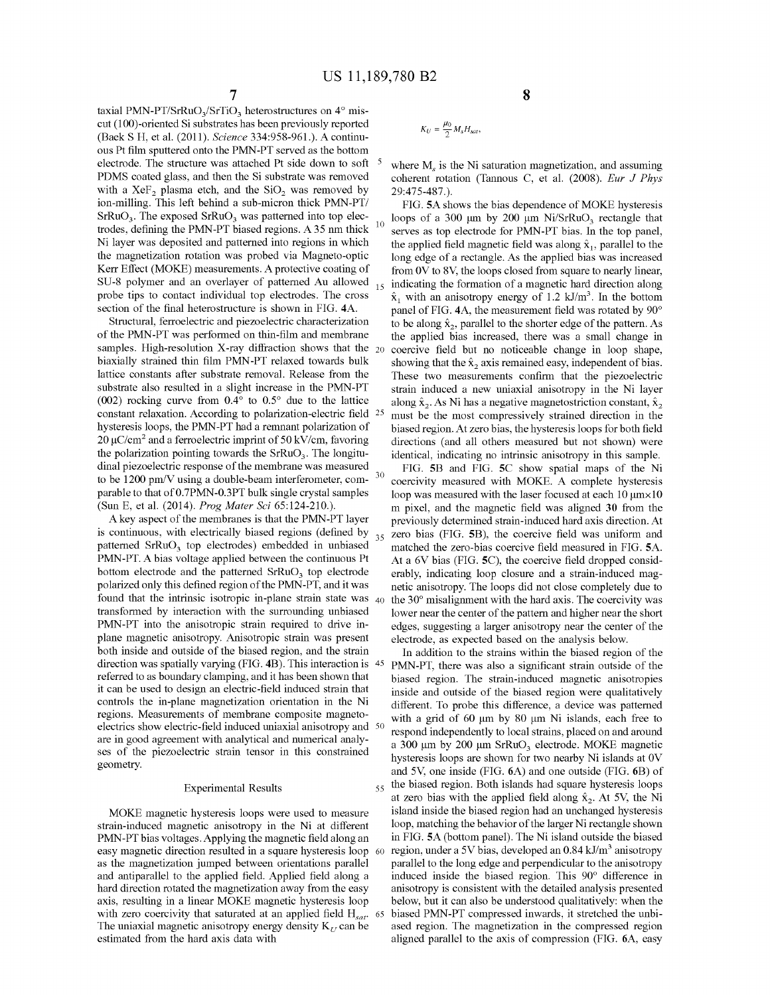10

30

taxial PMN-PT/SrRuO<sub>3</sub>/SrTiO<sub>3</sub> heterostructures on  $4^{\circ}$  miscut (100)-oriented Si substrates has been previously reported (Baek S H, et al. (2011 ). *Science* 334:958-961.). A continuous Pt film sputtered onto the PMN-PT served as the bottom electrode. The structure was attached Pt side down to soft  $\frac{5}{10}$  where M<sub>s</sub> is the Ni saturation magnetization, and assuming PDMS coated glass, and then the Si substrate was removed with a  $XeF_2$  plasma etch, and the  $SiO<sub>2</sub>$  was removed by ion-milling. This left behind a sub-micron thick PMN-PT/  $SrRuO<sub>3</sub>$ . The exposed  $SrRuO<sub>3</sub>$  was patterned into top electrodes, defining the PMN-PT biased regions. A 35 nm thick Ni layer was deposited and patterned into regions in which the magnetization rotation was probed via Magneto-optic Kerr Effect (MOKE) measurements. A protective coating of SU-8 polymer and an overlayer of patterned Au allowed probe tips to contact individual top electrodes. The cross section of the final heterostructure is shown in FIG. **4A.** 

Structural, ferroelectric and piezoelectric characterization of the PMN-PT was performed on thin-film and membrane samples. High-resolution X-ray diffraction shows that the  $_{20}$ biaxially strained thin film PMN-PT relaxed towards bulk lattice constants after substrate removal. Release from the substrate also resulted in a slight increase in the PMN-PT (002) rocking curve from 0.4° to 0.5° due to the lattice constant relaxation. According to polarization-electric field hysteresis loops, the PMN-PT had a renmant polarization of 20  $\mu$ C/cm<sup>2</sup> and a ferroelectric imprint of 50 kV/cm, favoring the polarization pointing towards the  $SrRuO<sub>3</sub>$ . The longitudinal piezoelectric response of the membrane was measured to be 1200 pm/V using a double-beam interferometer, comparable to that of0.7PMN-0.3PT bulk single crystal samples (Sun E, et al. (2014). *Prag Mater Sci* 65:124-210.).

A key aspect of the membranes is that the PMN-PT layer is continuous, with electrically biased regions (defined by patterned SrRuO<sub>3</sub> top electrodes) embedded in unbiased PMN-PT. A bias voltage applied between the continuous Pt bottom electrode and the patterned  $SFRuO<sub>3</sub>$  top electrode polarized only this defined region of the PMN-PT, and it was found that the intrinsic isotropic in-plane strain state was  $_{40}$ transformed by interaction with the surrounding unbiased PMN-PT into the anisotropic strain required to drive inplane magnetic anisotropy. Anisotropic strain was present both inside and outside of the biased region, and the strain direction was spatially varying (FIG. **4B).** This interaction is referred to as boundary clamping, and it has been shown that it can be used to design an electric-field induced strain that controls the in-plane magnetization orientation in the Ni regions. Measurements of membrane composite magnetoelectrics show electric-field induced uniaxial anisotropy and 50 are in good agreement with analytical and numerical analyses of the piezoelectric strain tensor in this constrained geometry.

#### Experimental Results

MOKE magnetic hysteresis loops were used to measure strain-induced magnetic anisotropy in the Ni at different PMN-PT bias voltages. Applying the magnetic field along an easy magnetic direction resulted in a square hysteresis loop 60 as the magnetization jumped between orientations parallel and antiparallel to the applied field. Applied field along a hard direction rotated the magnetization away from the easy axis, resulting in a linear MOKE magnetic hysteresis loop with zero coercivity that saturated at an applied field H<sub>sat</sub>. 65 The uniaxial magnetic anisotropy energy density  $K_U$  can be estimated from the hard axis data with

$$
\mathcal{L}_{\mathcal{A}}(x)
$$

$$
K_U = \frac{\mu_0}{2} M_s H_{sat},
$$

coherent rotation (Tannous C, et al. (2008). *Eur J Phys*  29:475-487.).

FIG. **SA** shows the bias dependence of MOKE hysteresis loops of a 300  $\mu$ m by 200  $\mu$ m Ni/SrRuO<sub>3</sub> rectangle that serves as top electrode for PMN-PT bias. In the top panel, the applied field magnetic field was along  $\hat{x}_1$ , parallel to the long edge of a rectangle. As the applied bias was increased from 0V to 8V, the loops closed from square to nearly linear, indicating the formation of a magnetic hard direction along  $\hat{x}_1$  with an anisotropy energy of 1.2 kJ/m<sup>3</sup>. In the bottom panel of FIG. **4A,** the measurement field was rotated by 90° to be along  $\hat{x}_2$ , parallel to the shorter edge of the pattern. As the applied bias increased, there was a small change in coercive field but no noticeable change in loop shape, showing that the  $\hat{x}_2$  axis remained easy, independent of bias. These two measurements confirm that the piezoelectric strain induced a new uniaxial anisotropy in the Ni layer along  $\hat{x}_2$ . As Ni has a negative magnetostriction constant,  $\hat{x}_2$ must be the most compressively strained direction in the biased region. At zero bias, the hysteresis loops for both field directions (and all others measured but not shown) were identical, indicating no intrinsic anisotropy in this sample.

FIG. **SB** and FIG. **SC** show spatial maps of the Ni coercivity measured with MOKE. A complete hysteresis loop was measured with the laser focused at each  $10 \mu m \times 10$ m pixel, and the magnetic field was aligned **30** from the previously determined strain-induced hard axis direction. At <sub>35</sub> zero bias (FIG. **5**B), the coercive field was uniform and matched the zero-bias coercive field measured in FIG. **SA.**  At a 6V bias (FIG. **SC),** the coercive field dropped considerably, indicating loop closure and a strain-induced magnetic anisotropy. The loops did not close completely due to the  $30^\circ$  misalignment with the hard axis. The coercivity was lower near the center of the pattern and higher near the short edges, suggesting a larger anisotropy near the center of the electrode, as expected based on the analysis below.

In addition to the strains within the biased region of the PMN-PT, there was also a significant strain outside of the biased region. The strain-induced magnetic anisotropies inside and outside of the biased region were qualitatively different. To probe this difference, a device was patterned with a grid of 60  $\mu$ m by 80  $\mu$ m Ni islands, each free to respond independently to local strains, placed on and around a 300  $\mu$ m by 200  $\mu$ m SrRuO<sub>3</sub> electrode. MOKE magnetic hysteresis loops are shown for two nearby Ni islands at 0V and 5\7, one inside (FIG. 6A) and one outside (FIG. 6B) of 55 the biased region. Both islands had square hysteresis loops at zero bias with the applied field along  $\hat{x}_2$ . At 5V, the Ni island inside the biased region had an unchanged hysteresis loop, matching the behavior of the larger Ni rectangle shown in FIG. **SA** (bottom panel). The Ni island outside the biased region, under a 5V bias, developed an  $0.84$  kJ/m<sup>3</sup> anisotropy parallel to the long edge and perpendicular to the anisotropy induced inside the biased region. This 90° difference in anisotropy is consistent with the detailed analysis presented below, but it can also be understood qualitatively: when the biased PMN-PT compressed inwards, it stretched the unbiased region. The magnetization in the compressed region aligned parallel to the axis of compression (FIG. **6A,** easy

7 **8**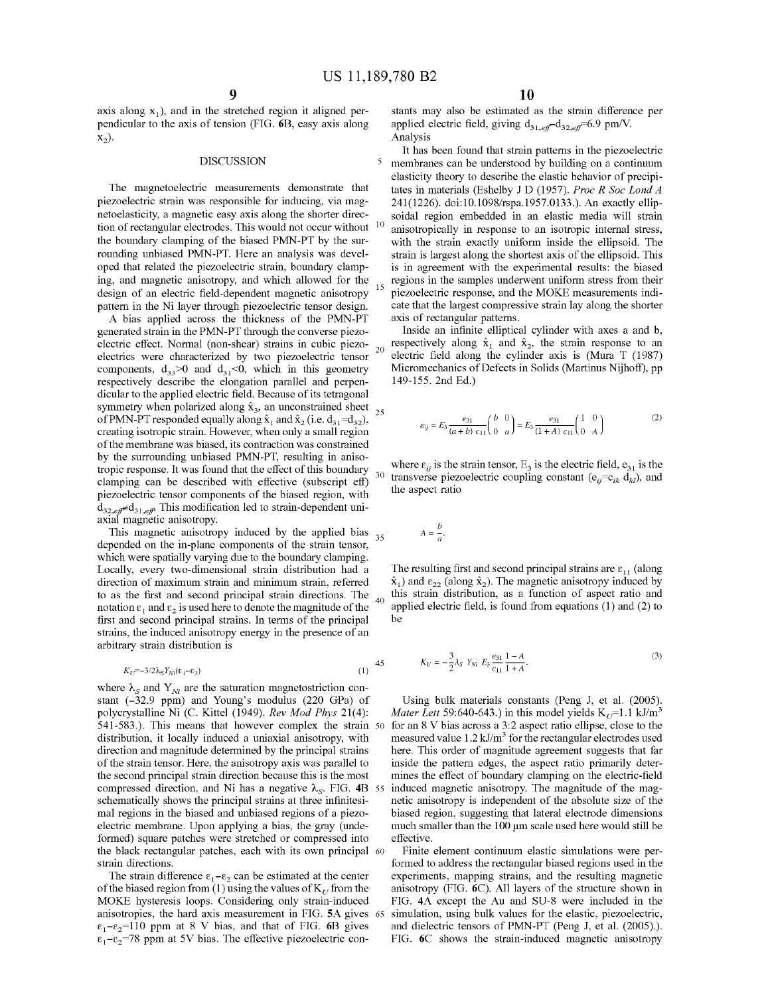axis along  $x_1$ ), and in the stretched region it aligned perpendicular to the axis of tension (FIG. 6B, easy axis along  $x_2$ ).

#### **DISCUSSION**

The magnetoelectric measurements demonstrate that piezoelectric strain was responsible for inducing, via magnetoelasticity, a magnetic easy axis along the shorter direction of rectangular electrodes. This would not occur without the boundary clamping of the biased PMN-PT by the surrounding unbiased PMN-PT. Here an analysis was developed that related the piezoelectric strain, boundary clamping, and magnetic anisotropy, and which allowed for the design of an electric field-dependent magnetic anisotropy pattern in the Ni layer through piezoelectric tensor design.

A bias applied across the thickness of the PMN-PT axis of rectangular patterns. generated strain in the PMN-PT through the converse piezoelectric effect. Normal (non-shear) strains in cubic piezoelectrics were characterized by two piezoelectric tensor components,  $d_{33}$ >0 and  $d_{31}$ <0, which in this geometry respectively describe the elongation parallel and perpendicular to the applied electric field. Because of its tetragonal symmetry when polarized along  $\hat{x}_3$ , an unconstrained sheet of PMN-PT responded equally along  $\hat{x}_1$  and  $\hat{x}_2$  (i.e. d<sub>31</sub>=d<sub>32</sub>), creating isotropic strain. However, when only a small region 20 of the membrane was biased, its contraction was constrained by the surrounding unbiased PMN-PT, resulting in anisotropic response. It was found that the effect of this boundary clamping can be described with effective (subscript eff) piezoelectric tensor components of the biased region, with  $d_{32. e\theta} \neq d_{31. e\theta}$  This modification led to strain-dependent uniaxial magnetic anisotropy.

This magnetic anisotropy induced by the applied bias 35 depended on the in-plane components of the strain tensor, which were spatially varying due to the boundary clamping. Locally, every two-dimensional strain distribution had a direction of maximum strain and minimum strain, referred to as the first and second principal strain directions. The 40 notation  $\varepsilon_1$  and  $\varepsilon_2$  is used here to denote the magnitude of the first and second principal strains. In terms of the principal strains, the induced anisotropy energy in the presence of an arbitrary strain distribution is

$$
K_U = -3/2\lambda_S Y_{Ni}(\epsilon_1 - \epsilon_2)
$$

where  $\lambda_s$  and  $Y_{Ni}$  are the saturation magnetostriction constant  $(-32.9$  ppm) and Young's modulus  $(220 \text{ GPa})$  of polycrystalline Ni (C. Kittel (1949). *Rev Mod Phys* 21(4): 541-583.). This means that however complex the strain 50 distribution, it locally induced a uniaxial anisotropy, with direction and magnitude determined by the principal strains of the strain tensor. Here, the anisotropy axis was parallel to the second principal strain direction because this is the most compressed direction, and Ni has a negative  $\lambda_S$ . FIG. 4B 55 schematically shows the principal strains at three infinitesimal regions in the biased and unbiased regions of a piezoelectric membrane. Upon applying a bias, the gray (undeformed) square patches were stretched or compressed into the black rectangular patches, each with its own principal 60 strain directions.

The strain difference  $\varepsilon_1 - \varepsilon_2$  can be estimated at the center of the biased region from (1) using the values of  $K_{\tau}$  from the MOKE hysteresis loops. Considering only strain-induced anisotropies, the hard axis measurement in FIG. **SA** gives  $\varepsilon_1 - \varepsilon_2 = 110$  ppm at 8 V bias, and that of FIG. 6B gives  $\epsilon_1 - \epsilon_2 = 78$  ppm at 5V bias. The effective piezoelectric constants may also be estimated as the strain difference per applied electric field, giving  $d_{31, eff} - d_{32, eff} = 6.9$  pm/V. Analysis

It has been found that strain patterns in the piezoelectric 5 membranes can be understood by building on a continuum elasticity theory to describe the elastic behavior of precipitates in materials (Eshelby J D (1957). *Proc R Soc Land A*  241(1226). doi:10.1098/rspa.1957.0133.). An exactly ellipsoidal region embedded in an elastic media will strain 10 anisotropically in response to an isotropic internal stress, with the strain exactly uniform inside the ellipsoid. The strain is largest along the shortest axis of the ellipsoid. This is in agreement with the experimental results: the biased regions in the samples underwent uniform stress from their piezoelectric response, and the MOKE measurements indicate that the largest compressive strain lay along the shorter

Inside an infinite elliptical cylinder with axes a and b, respectively along  $\hat{x}_1$  and  $\hat{x}_2$ , the strain response to an electric field along the cylinder axis is (Mura T (1987) Micromechanics of Defects in Solids (Martinus Nijhoff), pp 149-155. 2nd Ed.)

$$
\varepsilon_{ij} = E_3 \frac{e_{31}}{(a+b)\ c_{11}} \begin{pmatrix} b & 0 \\ 0 & a \end{pmatrix} = E_3 \frac{e_{31}}{(1+A)\ c_{11}} \begin{pmatrix} 1 & 0 \\ 0 & A \end{pmatrix} \tag{2}
$$

where  $\varepsilon_{ii}$  is the strain tensor, E<sub>3</sub> is the electric field, e<sub>31</sub> is the transverse piezoelectric coupling constant ( $e_{ij}=c_{ik} d_{kl}$ ), and the aspect ratio

$$
A = \frac{b}{a}.
$$

The resulting first and second principal strains are  $\varepsilon_{11}$  (along  $\hat{x}_1$ ) and  $\varepsilon_{22}$  (along  $\hat{x}_2$ ). The magnetic anisotropy induced by this strain distribution, as a function of aspect ratio and applied electric field, is found from equations (1) and (2) to be

$$
K_U = -\frac{3}{2}\lambda_S Y_{Ni} E_3 \frac{e_{31}}{c_{11}} \frac{1-A}{1+A}.
$$
 (3)

Using bulk materials constants (Peng J, et al. (2005). *Mater Lett* 59:640-643.) in this model yields  $K_{U}$ =1.1 kJ/m<sup>3</sup> for an 8 V bias across a 3:2 aspect ratio ellipse, close to the measured value  $1.2$  kJ/m<sup>3</sup> for the rectangular electrodes used here. This order of magnitude agreement suggests that far inside the pattern edges, the aspect ratio primarily determines the effect of boundary clamping on the electric-field induced magnetic anisotropy. The magnitude of the magnetic anisotropy is independent of the absolute size of the biased region, suggesting that lateral electrode dimensions much smaller than the 100 µm scale used here would still be effective.

Finite element continuum elastic simulations were performed to address the rectangular biased regions used in the experiments, mapping strains, and the resulting magnetic anisotropy (FIG. 6C). All layers of the structure shown in FIG. **4A** except the Au and SU-8 were included in the 65 simulation, using bulk values for the elastic, piezoelectric, and dielectric tensors of PMN-PT (Peng J, et al. (2005).). FIG. **6C** shows the strain-induced magnetic anisotropy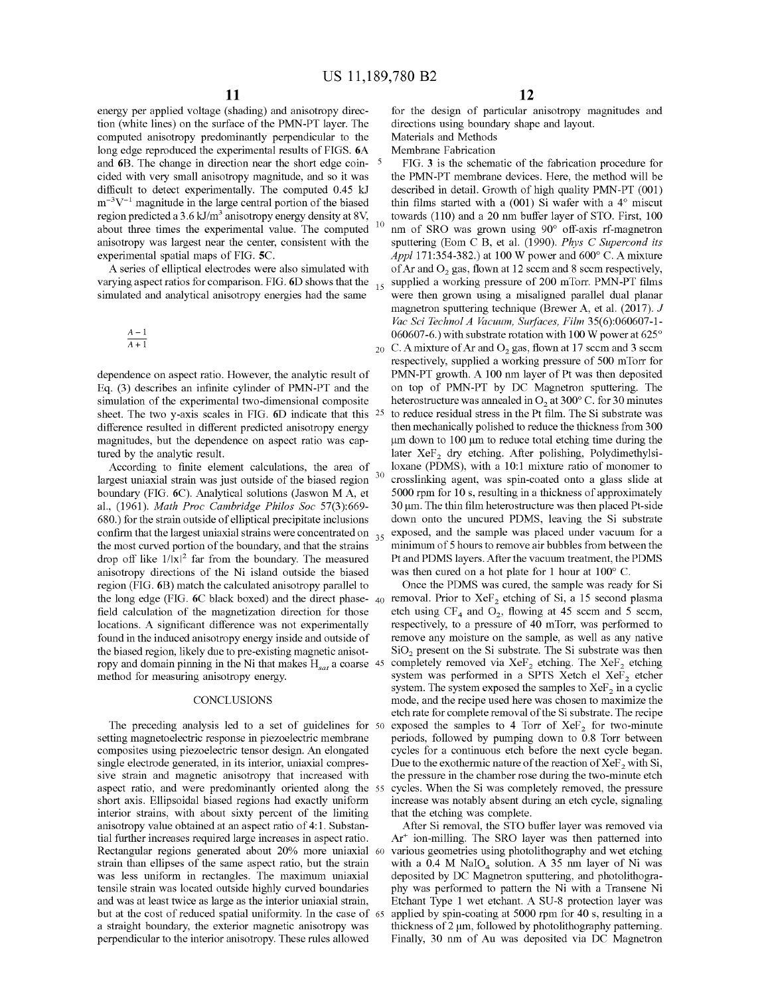energy per applied voltage (shading) and anisotropy direction (white lines) on the surface of the PMN-PT layer. The computed anisotropy predominantly perpendicular to the long edge reproduced the experimental results of FIGS. **6A**  and **6B.** The change in direction near the short edge coin- 5 cided with very small anisotropy magnitude, and so it was difficult to detect experimentally. The computed 0.45 kJ  $m^{-3}V^{-1}$  magnitude in the large central portion of the biased region predicted a 3.6 kJ/m<sup>3</sup> anisotropy energy density at 8V, about three times the experimental value. The computed anisotropy was largest near the center, consistent with the experimental spatial maps of FIG. **SC.** 

**A** series of elliptical electrodes were also simulated with varying aspect ratios for comparison. FIG.  $6D$  shows that the  $_{15}$ simulated and analytical anisotropy energies had the same

$$
\frac{A-1}{A+1}
$$

dependence on aspect ratio. However, the analytic result of Eq. (3) describes an infinite cylinder of PMN-PT and the simulation of the experimental two-dimensional composite sheet. The two y-axis scales in FIG. **6D** indicate that this difference resulted in different predicted anisotropy energy magnitudes, but the dependence on aspect ratio was captured by the analytic result.

According to finite element calculations, the area of largest uniaxial strain was just outside of the biased region boundary (FIG. 6C). Analytical solutions (Jaswon MA, et al., (1961). *Math Proc Cambridge Philos Soc* 57(3):669- 680.) for the strain outside of elliptical precipitate inclusions confirm that the largest uniaxial strains were concentrated on  $_{35}$ the most curved portion of the boundary, and that the strains drop off like  $1/|x|^2$  far from the boundary. The measured anisotropy directions of the Ni island outside the biased region (FIG. **6B)** match the calculated anisotropy parallel to the long edge (FIG. 6C black boxed) and the direct phase- <sub>40</sub> removal. Prior to XeF<sub>2</sub> etching of Si, a 15 second plasma field calculation of the magnetization direction for those locations. A significant difference was not experimentally found in the induced anisotropy energy inside and outside of the biased region, likely due to pre-existing magnetic anisotropy and domain pinning in the Ni that makes  $H_{sat}$  a coarse 45 method for measuring anisotropy energy.

#### **CONCLUSIONS**

The preceding analysis led to a set of guidelines for 50 setting magnetoelectric response in piezoelectric membrane composites using piezoelectric tensor design. An elongated single electrode generated, in its interior, uniaxial compressive strain and magnetic anisotropy that increased with aspect ratio, and were predominantly oriented along the 55 short axis. Ellipsoidal biased regions had exactly uniform interior strains, with about sixty percent of the limiting anisotropy value obtained at an aspect ratio of 4: 1. Substantial further increases required large increases in aspect ratio. Rectangular regions generated about 20% more uniaxial strain than ellipses of the same aspect ratio, but the strain was less uniform in rectangles. The maximum uniaxial tensile strain was located outside highly curved boundaries and was at least twice as large as the interior uniaxial strain, but at the cost of reduced spatial uniformity. In the case of 65 a straight boundary, the exterior magnetic anisotropy was perpendicular to the interior anisotropy. These rules allowed

for the design of particular anisotropy magnitudes and directions using boundary shape and layout.

Materials and Methods Membrane Fabrication

FIG. 3 is the schematic of the fabrication procedure for the PMN-PT membrane devices. Here, the method will be described in detail. Growth of high quality PMN-PT (001) thin films started with a  $(001)$  Si wafer with a  $4^\circ$  miscut towards (110) and a 20 nm buffer layer of STO. First, 100 nm of SRO was grown using 90° off-axis rf-magnetron sputtering (Eom C B, et al. (1990). *Phys C Supercond its Appl* 171:354-382.) at 100 W power and 600° C. A mixture of Ar and  $O_2$  gas, flown at 12 seem and 8 seem respectively, supplied a working pressure of 200 mTorr. PMN-PT films were then grown using a misaligned parallel dual planar magnetron sputtering technique (Brewer A, et al. (2017). *J Vac Sci Technol A Vacuum, Surfaces, Film* 35(6):060607-1- 060607-6.) with substrate rotation with 100 W power at 625°

20 C. A mixture of Ar and  $O_2$  gas, flown at 17 secm and 3 seem respectively, supplied a working pressure of 500 mTorr for PMN-PT growth. A 100 nm layer of Pt was then deposited on top of PMN-PT by DC Magnetron sputtering. The heterostructure was annealed in  $O<sub>2</sub>$  at 300° C. for 30 minutes 25 to reduce residual stress in the Pt film. The Si substrate was then mechanically polished to reduce the thickness from 300 µm down to 100 µm to reduce total etching time during the later  $XeF_2$  dry etching. After polishing, Polydimethylsiloxane (PDMS), with a 10:1 mixture ratio of monomer to crosslinking agent, was spin-coated onto a glass slide at 5000 rpm for 10 s, resulting in a thickness of approximately 30 µm. The thin film heterostructure was then placed Pt-side down onto the uncured PDMS, leaving the Si substrate exposed, and the sample was placed under vacuum for a minimum of 5 hours to remove air bubbles from between the Pt and PDMS layers. After the vacuum treatment, the PDMS was then cured on a hot plate for 1 hour at 100° C.

Once the PDMS was cured, the sample was ready for Si etch using  $CF_4$  and  $O_2$ , flowing at 45 secm and 5 secm, respectively, to a pressure of 40 mTorr, was performed to remove any moisture on the sample, as well as any native  $SiO<sub>2</sub>$  present on the Si substrate. The Si substrate was then completely removed via  $XeF_2$  etching. The  $XeF_2$  etching system was performed in a SPTS Xetch el Xe $F_2$  etcher system. The system exposed the samples to  $XeF_2$  in a cyclic mode, and the recipe used here was chosen to maximize the etch rate for complete removal of the Si substrate. The recipe exposed the samples to 4 Torr of  $XeF_2$  for two-minute periods, followed by pumping down to  $0.8$  Torr between cycles for a continuous etch before the next cycle began. Due to the exothermic nature of the reaction of  $XeF_2$  with Si, the pressure in the chamber rose during the two-minute etch cycles. When the Si was completely removed, the pressure increase was notably absent during an etch cycle, signaling that the etching was complete.

After Si removal, the STO buffer layer was removed via Ar+ ion-milling. The SRO layer was then patterned into various geometries using photolithography and wet etching with a  $0.4$  M NaIO<sub>4</sub> solution. A 35 nm layer of Ni was deposited by DC Magnetron sputtering, and photolithography was performed to pattern the Ni with a Transene Ni Etchant Type 1 wet etchant. A SU-8 protection layer was applied by spin-coating at 5000 rpm for 40 s, resulting in a thickness of 2 µm, followed by photolithography patterning. Finally, 30 nm of Au was deposited via DC Magnetron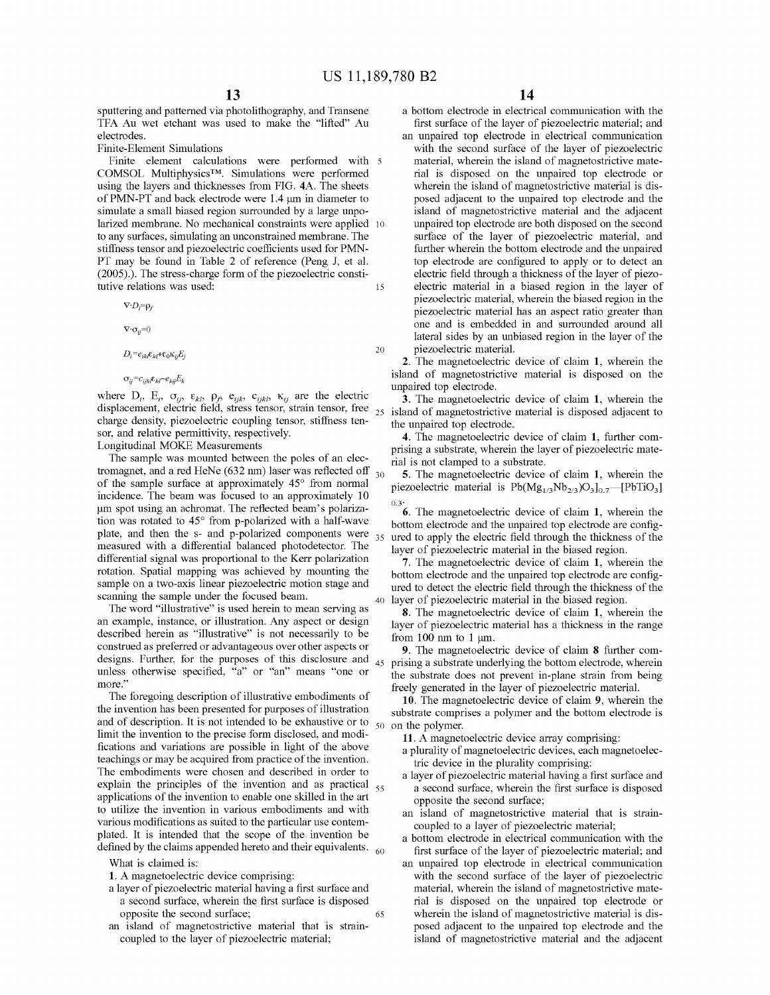20

sputtering and patterned via photolithography, and Transene TFA Au wet etchant was used to make the "lifted" Au electrodes.

Finite-Element Simulations

Finite element calculations were performed with 5 COMSOL Multiphysics™. Simulations were performed using the layers and thicknesses from FIG. **4A.** The sheets of PMN-PT and back electrode were 1.4 µmin diameter to simulate a small biased region surrounded by a large unpolarized membrane. No mechanical constraints were applied 10 to any surfaces, simulating an unconstrained membrane. The stiffness tensor and piezoelectric coefficients used for PMN-PT may be found in Table 2 of reference (Peng J, et al. (2005).). The stress-charge form of the piezoelectric constitutive relations was used: 15

 $\nabla \cdot D_i = \rho_f$ 

 $\nabla \cdot \sigma_{ij} = 0$ 

 $D_i = e_{ikl} \varepsilon_{kl} + \varepsilon_0 \kappa_{ij} E_j$ 

 $\sigma_{ii} = c_{iikl} \varepsilon_{kl} - e_{kii} E_k$ 

where  $D_i$ ,  $E_i$ ,  $\sigma_{ij}$ ,  $\varepsilon_{kl}$ ,  $\rho_{j}$ ,  $e_{ijk}$ ,  $c_{ijkl}$ ,  $\kappa_{ij}$  are the electric displacement, electric field, stress tensor, strain tensor, free charge density, piezoelectric coupling tensor, stiffness tensor, and relative permittivity, respectively.

Longitudinal MOKE Measurements

The sample was mounted between the poles of an electromagnet, and a red HeNe (632 nm) laser was reflected off  $_{30}$ of the sample surface at approximately 45° from normal incidence. The beam was focused to an approximately 10 um spot using an achromat. The reflected beam's polarization was rotated to 45° from p-polarized with a half-wave plate, and then the s- and p-polarized components were  $35$ measured with a differential balanced photodetector. The differential signal was proportional to the Kerr polarization rotation. Spatial mapping was achieved by mounting the sample on a two-axis linear piezoelectric motion stage and scanning the sample under the focused beam.

anning the sample under the focused beam.<br>The word "illustrative" is used herein to mean serving as  $\frac{40 \text{ layer of piezoelectric material in the biased region}}{8 \text{ The monotoelectric device of claim 1, when the object is a single point.}$ an example, instance, or illustration. Any aspect or design described herein as "illustrative" is not necessarily to be construed as preferred or advantageous over other aspects or designs. Further, for the purposes of this disclosure and  $_{45}$ unless otherwise specified, "a" or "an" means "one or **more."** 

The foregoing description of illustrative embodiments of the invention has been presented for purposes of illustration and of description. It is not intended to be exhaustive or to  $\frac{50}{10}$  on the polymer. limit the invention to the precise form disclosed, and modifications and variations are possible in light of the above teachings or may be acquired from practice of the invention. The embodiments were chosen and described in order to explain the principles of the invention and as practical  $_{55}$ applications of the invention to enable one skilled in the art to utilize the invention in various embodiments and with various modifications as suited to the particular use contemplated. It is intended that the scope of the invention be defined by the claims appended hereto and their equivalents.  $60$ 

What is claimed is:

**1.** A magnetoelectric device comprising:

- a layer of piezoelectric material having a first surface and a second surface, wherein the first surface is disposed opposite the second surface; 65
- an island of magnetostrictive material that is straincoupled to the layer of piezoelectric material;

a bottom electrode in electrical communication with the first surface of the layer of piezoelectric material; and

an unpaired top electrode in electrical communication with the second surface of the layer of piezoelectric material, wherein the island of magnetostrictive material is disposed on the unpaired top electrode or wherein the island of magnetostrictive material is disposed adjacent to the unpaired top electrode and the island of magnetostrictive material and the adjacent unpaired top electrode are both disposed on the second surface of the layer of piezoelectric material, and further wherein the bottom electrode and the unpaired top electrode are configured to apply or to detect an electric field through a thickness of the layer of piezoelectric material in a biased region in the layer of piezoelectric material, wherein the biased region in the piezoelectric material has an aspect ratio greater than one and is embedded in and surrounded around all lateral sides by an unbiased region in the layer of the piezoelectric material.

**2.** The magnetoelectric device of claim **1,** wherein the island of magnetostrictive material is disposed on the unpaired top electrode.

**3.** The magnetoelectric device of claim **1,** wherein the island of magnetostrictive material is disposed adjacent to the unpaired top electrode.

**4.** The magnetoelectric device of claim **1,** further comprising a substrate, wherein the layer of piezoelectric material is not clamped to a substrate.

**5.** The magnetoelectric device of claim **1,** wherein the piezoelectric material is  $Pb(Mg_{1/3}Nb_{2/3})O_3]_{0.7}$  [PbTiO<sub>3</sub>]  $0.3^{\circ}$ 

**6.** The magnetoelectric device of claim **1,** wherein the bottom electrode and the unpaired top electrode are configured to apply the electric field through the thickness of the layer of piezoelectric material in the biased region.

**7.** The magnetoelectric device of claim **1,** wherein the bottom electrode and the unpaired top electrode are configured to detect the electric field through the thickness of the

**8.** The magnetoelectric device of claim **1,** wherein the layer of piezoelectric material has a thickness in the range from 100 nm to 1  $\mu$ m.

**9.** The magnetoelectric device of claim **8** further comprising a substrate underlying the bottom electrode, wherein the substrate does not prevent in-plane strain from being freely generated in the layer of piezoelectric material.

**10.** The magnetoelectric device of claim **9,** wherein the substrate comprises a polymer and the bottom electrode is

**11.** A magnetoelectric device array comprising:

- a plurality of magnetoelectric devices, each magnetoelectric device in the plurality comprising:
- a layer of piezoelectric material having a first surface and a second surface, wherein the first surface is disposed opposite the second surface;
- an island of magnetostrictive material that is straincoupled to a layer of piezoelectric material;
- a bottom electrode in electrical communication with the first surface of the layer of piezoelectric material; and
- an unpaired top electrode in electrical communication with the second surface of the layer of piezoelectric material, wherein the island of magnetostrictive material is disposed on the unpaired top electrode or wherein the island of magnetostrictive material is disposed adjacent to the unpaired top electrode and the island of magnetostrictive material and the adjacent